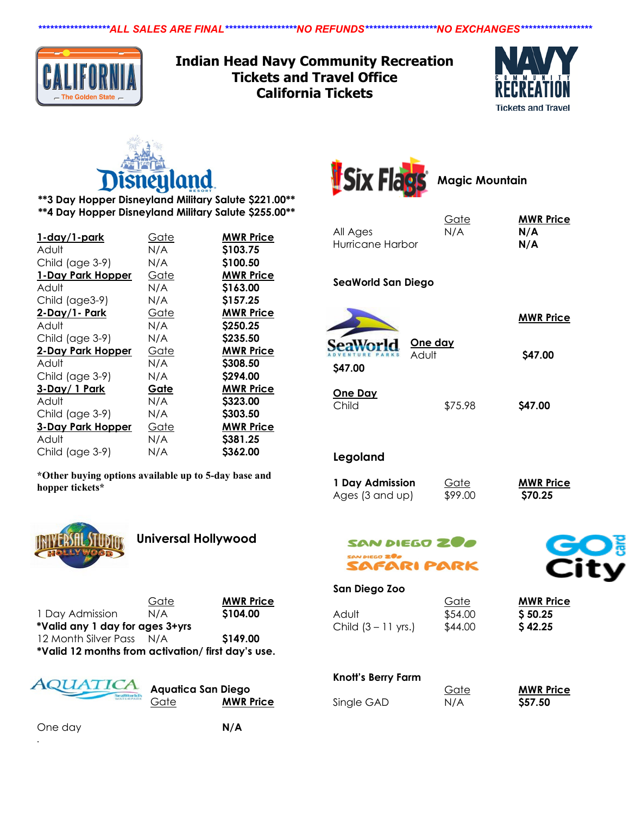*\*\*\*\*\*\*\*\*\*\*\*\*\*\*\*\*\*\*ALL SALES ARE FINAL\*\*\*\*\*\*\*\*\*\*\*\*\*\*\*\*\*\*NO REFUNDS\*\*\*\*\*\*\*\*\*\*\*\*\*\*\*\*\*\*NO EXCHANGES\*\*\*\*\*\*\*\*\*\*\*\*\*\*\*\*\*\**



**Indian Head Navy Community Recreation Tickets and Travel Office California Tickets**





**\*\*3 Day Hopper Disneyland Military Salute \$221.00\*\* \*\*4 Day Hopper Disneyland Military Salute \$255.00\*\***

| 1-day/1-park         | <u>Gate</u> | <b>MWR Price</b> |
|----------------------|-------------|------------------|
| Adult                | N/A         | \$103.75         |
| Child (age 3-9)      | N/A         | \$100.50         |
| 1-Day Park Hopper    | Gate        | <b>MWR Price</b> |
| Adult                | N/A         | \$163.00         |
| Child (age3-9)       | N/A         | \$157.25         |
| <u>2-Day/1- Park</u> | Gate        | <b>MWR Price</b> |
| Adult                | N/A         | \$250.25         |
| Child (age 3-9)      | N/A         | \$235.50         |
| 2-Day Park Hopper    | Gate        | <b>MWR Price</b> |
| Adult                | N/A         | \$308.50         |
| Child (age 3-9)      | N/A         | \$294.00         |
| 3-Day/1 Park         | Gate        | <b>MWR Price</b> |
| HubA                 | N/A         | \$323.00         |
| Child (age 3-9)      | N/A         | \$303.50         |
| 3-Day Park Hopper    | Gate        | <b>MWR Price</b> |
| Adult                |             | \$381.25         |
|                      | N/A         |                  |

**\*Other buying options available up to 5-day base and hopper tickets\***



**Universal Hollywood**

| 1 Day Admission                                   | Gate<br>N/A | <b>MWR Price</b><br>\$104.00 |
|---------------------------------------------------|-------------|------------------------------|
| *Valid any 1 day for ages 3+yrs                   |             |                              |
| 12 Month Silver Pass                              | N/A         | \$149.00                     |
| *Valid 12 months from activation/first day's use. |             |                              |



**Aquatica San Diego**  Gate **MWR Price**

One day **N/A**

.



**Magic Mountain**

|                  | Gate | <b>MWR Price</b> |
|------------------|------|------------------|
| All Ages         | N/A  | N/A              |
| Hurricane Harbor |      | N/A              |
|                  |      |                  |
|                  |      |                  |

**SeaWorld San Diego**

**One day** J. eaWo **\$47.00**

 **MWR Price**

| \$47.00 |
|---------|
| \$75.98 |

**MWR Price** 

Adult **\$47.00**

**Legoland**

| 1 Day Admission | Gate    | <b>MWR Pr</b> |
|-----------------|---------|---------------|
| Ages (3 and up) | \$99.00 | \$70.25       |



### SAN DIEGO ZOO SAN DIEGO 200 SAFARI PARK

#### **San Diego Zoo**

Adult **\$54.00 \$50.25** Child (3 – 11 yrs.) \$44.00 **\$ 42.25**

## **Knott's Berry Farm**

Single GAD **N/A \$57.50** 

Gate **MWR Price**

Gate **MWR Price**